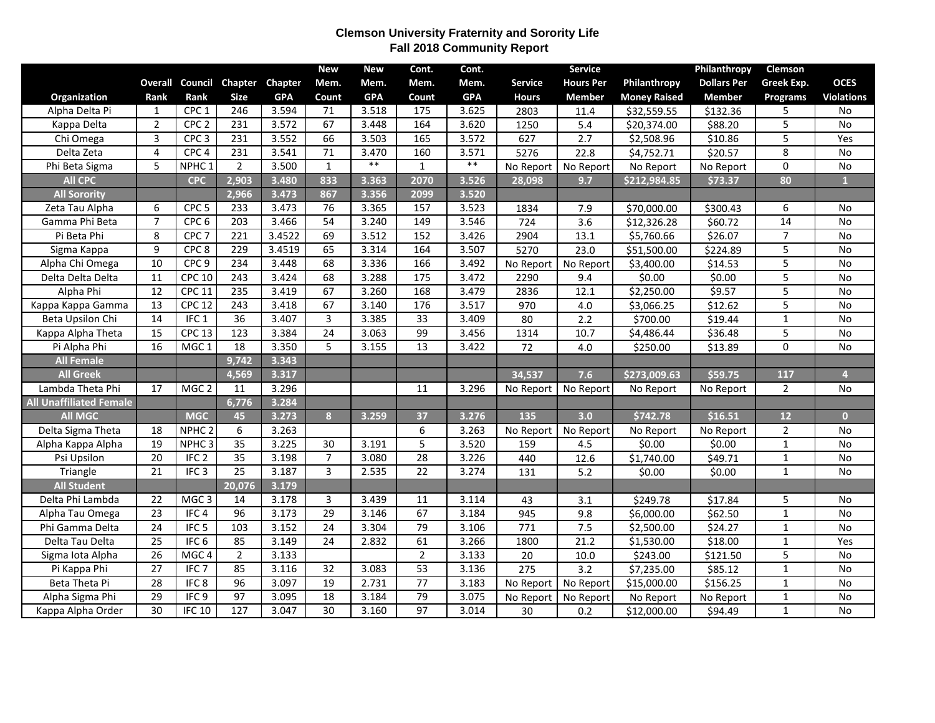## **Clemson University Fraternity and Sorority Life Fall 2018 Community Report**

|                                |                 |                   |                  |                | <b>New</b>      | <b>New</b> | Cont.           | Cont.      |                | Service          |                     | Philanthropy       | Clemson        |                   |
|--------------------------------|-----------------|-------------------|------------------|----------------|-----------------|------------|-----------------|------------|----------------|------------------|---------------------|--------------------|----------------|-------------------|
|                                | <b>Overall</b>  |                   | Council Chapter  | <b>Chapter</b> | Mem.            | Mem.       | Mem.            | Mem.       | <b>Service</b> | <b>Hours Per</b> | Philanthropy        | <b>Dollars Per</b> | Greek Exp.     | <b>OCES</b>       |
| Organization                   | Rank            | Rank              | <b>Size</b>      | <b>GPA</b>     | Count           | <b>GPA</b> | Count           | <b>GPA</b> | <b>Hours</b>   | <b>Member</b>    | <b>Money Raised</b> | <b>Member</b>      | Programs       | <b>Violations</b> |
| Alpha Delta Pi                 | $\mathbf{1}$    | CPC <sub>1</sub>  | 246              | 3.594          | 71              | 3.518      | 175             | 3.625      | 2803           | 11.4             | \$32,559.55         | \$132.36           | 5              | No                |
| Kappa Delta                    | $\overline{2}$  | CPC <sub>2</sub>  | 231              | 3.572          | 67              | 3.448      | 164             | 3.620      | 1250           | 5.4              | \$20,374.00         | \$88.20            | 5              | No                |
| Chi Omega                      | 3               | CPC <sub>3</sub>  | 231              | 3.552          | 66              | 3.503      | 165             | 3.572      | 627            | 2.7              | \$2,508.96          | \$10.86            | 5              | Yes               |
| Delta Zeta                     | 4               | CPC <sub>4</sub>  | 231              | 3.541          | 71              | 3.470      | 160             | 3.571      | 5276           | 22.8             | \$4,752.71          | \$20.57            | 8              | No                |
| Phi Beta Sigma                 | 5               | NPHC <sub>1</sub> | $\overline{2}$   | 3.500          | $\mathbf{1}$    | $***$      | $\mathbf{1}$    | $***$      | No Report      | No Report        | No Report           | No Report          | $\mathbf 0$    | No                |
| <b>All CPC</b>                 |                 | <b>CPC</b>        | 2,903            | 3.480          | 833             | 3.363      | 2070            | 3.526      | 28,098         | 9.7              | \$212,984.85        | \$73.37            | 80             | $\mathbf{1}$      |
| <b>All Sorority</b>            |                 |                   | 2,966            | 3.473          | 867             | 3.356      | 2099            | 3.520      |                |                  |                     |                    |                |                   |
| Zeta Tau Alpha                 | 6               | CPC <sub>5</sub>  | 233              | 3.473          | 76              | 3.365      | 157             | 3.523      | 1834           | 7.9              | \$70,000.00         | \$300.43           | 6              | No                |
| Gamma Phi Beta                 | $\overline{7}$  | CPC <sub>6</sub>  | $\overline{203}$ | 3.466          | 54              | 3.240      | 149             | 3.546      | 724            | 3.6              | \$12,326.28         | \$60.72            | 14             | $\overline{No}$   |
| Pi Beta Phi                    | 8               | CPC <sub>7</sub>  | 221              | 3.4522         | 69              | 3.512      | 152             | 3.426      | 2904           | 13.1             | \$5,760.66          | \$26.07            | $\overline{7}$ | No                |
| Sigma Kappa                    | 9               | CPC <sub>8</sub>  | 229              | 3.4519         | 65              | 3.314      | 164             | 3.507      | 5270           | 23.0             | \$51,500.00         | \$224.89           | 5              | <b>No</b>         |
| Alpha Chi Omega                | 10              | CPC <sub>9</sub>  | 234              | 3.448          | 68              | 3.336      | 166             | 3.492      | No Report      | No Report        | \$3,400.00          | \$14.53            | 5              | No                |
| Delta Delta Delta              | $\overline{11}$ | <b>CPC 10</b>     | 243              | 3.424          | 68              | 3.288      | 175             | 3.472      | 2290           | 9.4              | \$0.00              | \$0.00             | 5              | <b>No</b>         |
| Alpha Phi                      | 12              | <b>CPC 11</b>     | 235              | 3.419          | 67              | 3.260      | 168             | 3.479      | 2836           | 12.1             | \$2,250.00          | \$9.57             | $\overline{5}$ | No                |
| Kappa Kappa Gamma              | 13              | <b>CPC 12</b>     | 243              | 3.418          | 67              | 3.140      | 176             | 3.517      | 970            | 4.0              | \$3,066.25          | \$12.62            | 5              | No                |
| Beta Upsilon Chi               | $\overline{14}$ | IFC <sub>1</sub>  | $\overline{36}$  | 3.407          | 3               | 3.385      | $\overline{33}$ | 3.409      | 80             | 2.2              | \$700.00            | \$19.44            | $\mathbf{1}$   | No                |
| Kappa Alpha Theta              | 15              | <b>CPC 13</b>     | 123              | 3.384          | 24              | 3.063      | 99              | 3.456      | 1314           | 10.7             | \$4,486.44          | \$36.48            | 5              | $\overline{No}$   |
| Pi Alpha Phi                   | 16              | MGC <sub>1</sub>  | 18               | 3.350          | 5               | 3.155      | 13              | 3.422      | 72             | 4.0              | \$250.00            | \$13.89            | $\Omega$       | No                |
| <b>All Female</b>              |                 |                   | 9,742            | 3.343          |                 |            |                 |            |                |                  |                     |                    |                |                   |
| <b>All Greek</b>               |                 |                   | 4,569            | 3.317          |                 |            |                 |            | 34,537         | 7.6              | \$273,009.63        | \$59.75            | 117            | $\overline{4}$    |
| Lambda Theta Phi               | 17              | MGC <sub>2</sub>  | 11               | 3.296          |                 |            | 11              | 3.296      | No Report      | No Report        | No Report           | No Report          | $\overline{2}$ | No                |
| <b>All Unaffiliated Female</b> |                 |                   | 6,776            | 3.284          |                 |            |                 |            |                |                  |                     |                    |                |                   |
| <b>All MGC</b>                 |                 | <b>MGC</b>        | 45               | 3.273          | 8               | 3.259      | 37              | 3.276      | 135            | 3.0              | \$742.78            | \$16.51            | $12$           | $\overline{0}$    |
| Delta Sigma Theta              | 18              | NPHC <sub>2</sub> | 6                | 3.263          |                 |            | 6               | 3.263      | No Report      | No Report        | No Report           | No Report          | $\overline{2}$ | No                |
| Alpha Kappa Alpha              | 19              | NPHC <sub>3</sub> | $\overline{35}$  | 3.225          | 30              | 3.191      | 5               | 3.520      | 159            | 4.5              | \$0.00              | \$0.00             | $\mathbf{1}$   | No                |
| Psi Upsilon                    | 20              | IFC <sub>2</sub>  | 35               | 3.198          | $\overline{7}$  | 3.080      | $\overline{28}$ | 3.226      | 440            | 12.6             | \$1,740.00          | \$49.71            | $\mathbf{1}$   | No                |
| Triangle                       | 21              | IFC <sub>3</sub>  | 25               | 3.187          | 3               | 2.535      | 22              | 3.274      | 131            | 5.2              | \$0.00              | \$0.00             | $\mathbf{1}$   | No                |
| <b>All Student</b>             |                 |                   | 20,076           | 3.179          |                 |            |                 |            |                |                  |                     |                    |                |                   |
| Delta Phi Lambda               | 22              | MGC <sub>3</sub>  | 14               | 3.178          | 3               | 3.439      | 11              | 3.114      | 43             | 3.1              | \$249.78            | \$17.84            | 5              | No                |
| Alpha Tau Omega                | 23              | IFC <sub>4</sub>  | 96               | 3.173          | 29              | 3.146      | 67              | 3.184      | 945            | 9.8              | \$6,000.00          | \$62.50            | $\mathbf{1}$   | <b>No</b>         |
| Phi Gamma Delta                | 24              | IFC <sub>5</sub>  | 103              | 3.152          | 24              | 3.304      | 79              | 3.106      | 771            | 7.5              | \$2,500.00          | \$24.27            | $\mathbf{1}$   | No                |
| Delta Tau Delta                | $\overline{25}$ | IFC <sub>6</sub>  | 85               | 3.149          | $\overline{24}$ | 2.832      | 61              | 3.266      | 1800           | 21.2             | \$1,530.00          | \$18.00            | $\mathbf{1}$   | Yes               |
| Sigma lota Alpha               | $\overline{26}$ | MGC <sub>4</sub>  | $\overline{2}$   | 3.133          |                 |            | $\overline{2}$  | 3.133      | 20             | 10.0             | \$243.00            | \$121.50           | $\overline{5}$ | <b>No</b>         |
| Pi Kappa Phi                   | 27              | IFC <sub>7</sub>  | 85               | 3.116          | 32              | 3.083      | 53              | 3.136      | 275            | 3.2              | \$7,235.00          | \$85.12            | $\mathbf{1}$   | No                |
| Beta Theta Pi                  | $\overline{28}$ | IFC8              | $\overline{96}$  | 3.097          | 19              | 2.731      | $\overline{77}$ | 3.183      | No Report      | No Report        | \$15,000.00         | \$156.25           | $\mathbf{1}$   | No                |
| Alpha Sigma Phi                | 29              | IFC9              | 97               | 3.095          | 18              | 3.184      | 79              | 3.075      | No Report      | No Report        | No Report           | No Report          | $\mathbf{1}$   | No                |
| Kappa Alpha Order              | 30              | <b>IFC 10</b>     | 127              | 3.047          | 30              | 3.160      | 97              | 3.014      | 30             | 0.2              | \$12,000.00         | \$94.49            | $\mathbf{1}$   | No                |